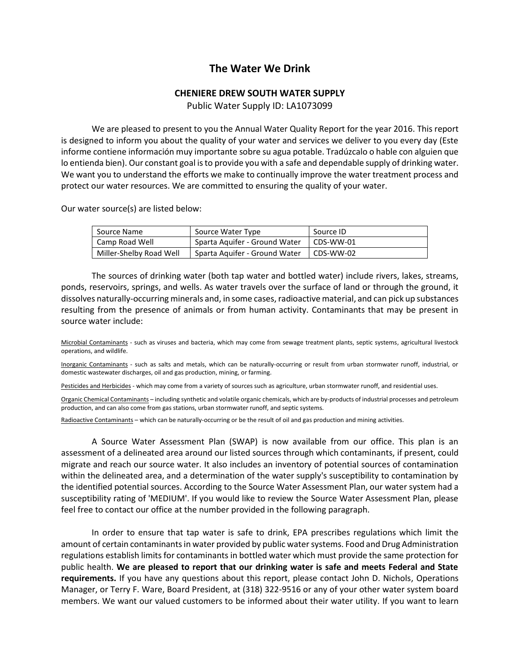## **The Water We Drink**

## **CHENIERE DREW SOUTH WATER SUPPLY**

Public Water Supply ID: LA1073099

We are pleased to present to you the Annual Water Quality Report for the year 2016. This report is designed to inform you about the quality of your water and services we deliver to you every day (Este informe contiene información muy importante sobre su agua potable. Tradúzcalo o hable con alguien que lo entienda bien). Our constant goal is to provide you with a safe and dependable supply of drinking water. We want you to understand the efforts we make to continually improve the water treatment process and protect our water resources. We are committed to ensuring the quality of your water.

Our water source(s) are listed below:

| Source Name             | Source Water Type             | Source ID |
|-------------------------|-------------------------------|-----------|
| Camp Road Well          | Sparta Aquifer - Ground Water | CDS-WW-01 |
| Miller-Shelby Road Well | Sparta Aguifer - Ground Water | CDS-WW-02 |

The sources of drinking water (both tap water and bottled water) include rivers, lakes, streams, ponds, reservoirs, springs, and wells. As water travels over the surface of land or through the ground, it dissolves naturally-occurring minerals and, in some cases, radioactive material, and can pick up substances resulting from the presence of animals or from human activity. Contaminants that may be present in source water include:

Microbial Contaminants - such as viruses and bacteria, which may come from sewage treatment plants, septic systems, agricultural livestock operations, and wildlife.

Inorganic Contaminants - such as salts and metals, which can be naturally-occurring or result from urban stormwater runoff, industrial, or domestic wastewater discharges, oil and gas production, mining, or farming.

Pesticides and Herbicides - which may come from a variety of sources such as agriculture, urban stormwater runoff, and residential uses.

Organic Chemical Contaminants – including synthetic and volatile organic chemicals, which are by-products of industrial processes and petroleum production, and can also come from gas stations, urban stormwater runoff, and septic systems.

Radioactive Contaminants – which can be naturally-occurring or be the result of oil and gas production and mining activities.

A Source Water Assessment Plan (SWAP) is now available from our office. This plan is an assessment of a delineated area around our listed sources through which contaminants, if present, could migrate and reach our source water. It also includes an inventory of potential sources of contamination within the delineated area, and a determination of the water supply's susceptibility to contamination by the identified potential sources. According to the Source Water Assessment Plan, our water system had a susceptibility rating of 'MEDIUM'. If you would like to review the Source Water Assessment Plan, please feel free to contact our office at the number provided in the following paragraph.

In order to ensure that tap water is safe to drink, EPA prescribes regulations which limit the amount of certain contaminants in water provided by public water systems. Food and Drug Administration regulations establish limits for contaminants in bottled water which must provide the same protection for public health. **We are pleased to report that our drinking water is safe and meets Federal and State requirements.** If you have any questions about this report, please contact John D. Nichols, Operations Manager, or Terry F. Ware, Board President, at (318) 322-9516 or any of your other water system board members. We want our valued customers to be informed about their water utility. If you want to learn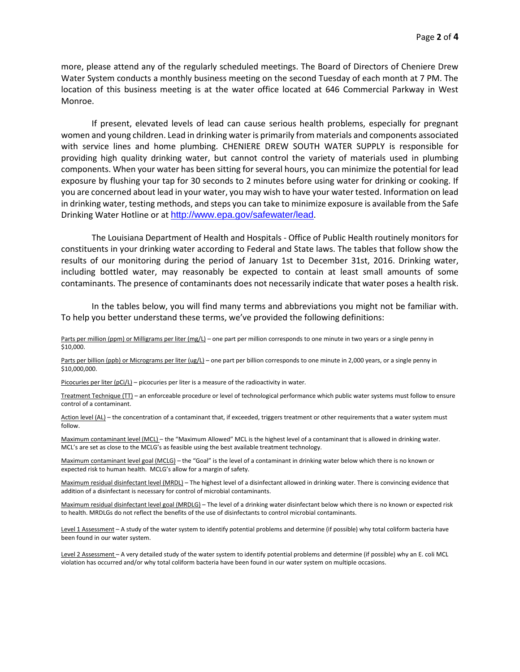more, please attend any of the regularly scheduled meetings. The Board of Directors of Cheniere Drew Water System conducts a monthly business meeting on the second Tuesday of each month at 7 PM. The location of this business meeting is at the water office located at 646 Commercial Parkway in West Monroe.

If present, elevated levels of lead can cause serious health problems, especially for pregnant women and young children. Lead in drinking water is primarily from materials and components associated with service lines and home plumbing. CHENIERE DREW SOUTH WATER SUPPLY is responsible for providing high quality drinking water, but cannot control the variety of materials used in plumbing components. When your water has been sitting for several hours, you can minimize the potential for lead exposure by flushing your tap for 30 seconds to 2 minutes before using water for drinking or cooking. If you are concerned about lead in your water, you may wish to have your water tested. Information on lead in drinking water, testing methods, and steps you can take to minimize exposure is available from the Safe Drinking Water Hotline or at <http://www.epa.gov/safewater/lead>.

The Louisiana Department of Health and Hospitals - Office of Public Health routinely monitors for constituents in your drinking water according to Federal and State laws. The tables that follow show the results of our monitoring during the period of January 1st to December 31st, 2016. Drinking water, including bottled water, may reasonably be expected to contain at least small amounts of some contaminants. The presence of contaminants does not necessarily indicate that water poses a health risk.

In the tables below, you will find many terms and abbreviations you might not be familiar with. To help you better understand these terms, we've provided the following definitions:

Parts per million (ppm) or Milligrams per liter (mg/L) – one part per million corresponds to one minute in two years or a single penny in \$10,000.

Parts per billion (ppb) or Micrograms per liter (ug/L) – one part per billion corresponds to one minute in 2,000 years, or a single penny in \$10,000,000.

Picocuries per liter (pCi/L) – picocuries per liter is a measure of the radioactivity in water.

Treatment Technique (TT) – an enforceable procedure or level of technological performance which public water systems must follow to ensure control of a contaminant.

Action level (AL) - the concentration of a contaminant that, if exceeded, triggers treatment or other requirements that a water system must follow.

Maximum contaminant level (MCL) – the "Maximum Allowed" MCL is the highest level of a contaminant that is allowed in drinking water. MCL's are set as close to the MCLG's as feasible using the best available treatment technology.

Maximum contaminant level goal (MCLG) – the "Goal" is the level of a contaminant in drinking water below which there is no known or expected risk to human health. MCLG's allow for a margin of safety.

Maximum residual disinfectant level (MRDL) – The highest level of a disinfectant allowed in drinking water. There is convincing evidence that addition of a disinfectant is necessary for control of microbial contaminants.

Maximum residual disinfectant level goal (MRDLG) – The level of a drinking water disinfectant below which there is no known or expected risk to health. MRDLGs do not reflect the benefits of the use of disinfectants to control microbial contaminants.

Level 1 Assessment - A study of the water system to identify potential problems and determine (if possible) why total coliform bacteria have been found in our water system.

Level 2 Assessment - A very detailed study of the water system to identify potential problems and determine (if possible) why an E. coli MCL violation has occurred and/or why total coliform bacteria have been found in our water system on multiple occasions.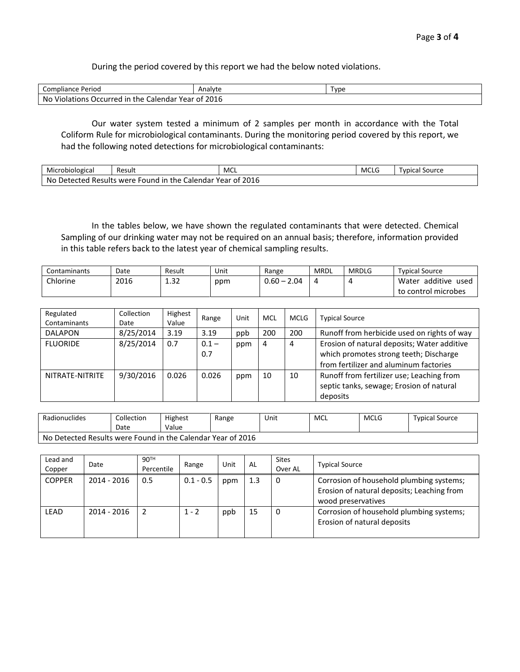During the period covered by this report we had the below noted violations.

| Compliance Period                                            | Analyte | Γvpe |
|--------------------------------------------------------------|---------|------|
| No.<br>. Violations Occurred<br>" Calendar Year of<br>in the | 2016    |      |

Our water system tested a minimum of 2 samples per month in accordance with the Total Coliform Rule for microbiological contaminants. During the monitoring period covered by this report, we had the following noted detections for microbiological contaminants:

| Microbiological                                                                                                      | -<br>Result | MCL | MCLC | Source<br>, vnica |  |  |
|----------------------------------------------------------------------------------------------------------------------|-------------|-----|------|-------------------|--|--|
| <b>COMP</b><br>No<br>hataata<br>-in<br>the<br>Calendar<br>Year<br>Results were<br>- OT<br>Det.<br>-ound<br>2016<br>. |             |     |      |                   |  |  |

In the tables below, we have shown the regulated contaminants that were detected. Chemical Sampling of our drinking water may not be required on an annual basis; therefore, information provided in this table refers back to the latest year of chemical sampling results.

| Contaminants | Date | Result           | Unit | Range              | MRDL | <b>MRDLG</b> | <b>Typical Source</b>     |
|--------------|------|------------------|------|--------------------|------|--------------|---------------------------|
| Chlorine     | 2016 | ຳ<br><b>1.JL</b> | ppm  | $J.60 - 7$<br>2.04 |      |              | additive<br>Water<br>used |
|              |      |                  |      |                    |      |              | control microbes<br>to    |

| Regulated<br>Contaminants | Collection<br>Date | Highest<br>Value | Range          | Unit | <b>MCL</b> | <b>MCLG</b> | <b>Typical Source</b>                                                                                                           |
|---------------------------|--------------------|------------------|----------------|------|------------|-------------|---------------------------------------------------------------------------------------------------------------------------------|
| <b>DALAPON</b>            | 8/25/2014          | 3.19             | 3.19           | ppb  | 200        | 200         | Runoff from herbicide used on rights of way                                                                                     |
| <b>FLUORIDE</b>           | 8/25/2014          | 0.7              | $0.1 -$<br>0.7 | ppm  | 4          | 4           | Erosion of natural deposits; Water additive<br>which promotes strong teeth; Discharge<br>from fertilizer and aluminum factories |
| NITRATE-NITRITE           | 9/30/2016          | 0.026            | 0.026          | ppm  | 10         | 10          | Runoff from fertilizer use; Leaching from<br>septic tanks, sewage; Erosion of natural<br>deposits                               |

| Radionuclides                                               | Collection | <b>Highest</b> | Range | Unit | MCL | <b>MCLG</b> | <b>Typical Source</b> |  |
|-------------------------------------------------------------|------------|----------------|-------|------|-----|-------------|-----------------------|--|
|                                                             | Date       | Value          |       |      |     |             |                       |  |
| No Detected Results were Found in the Calendar Year of 2016 |            |                |       |      |     |             |                       |  |

| Lead and<br>Copper | Date          | 90 <sup>TH</sup><br>Percentile | Range       | Unit | AL  | <b>Sites</b><br>Over AL | <b>Typical Source</b>                                                                                        |
|--------------------|---------------|--------------------------------|-------------|------|-----|-------------------------|--------------------------------------------------------------------------------------------------------------|
| <b>COPPER</b>      | $2014 - 2016$ | 0.5                            | $0.1 - 0.5$ | ppm  | 1.3 | - 0                     | Corrosion of household plumbing systems;<br>Erosion of natural deposits; Leaching from<br>wood preservatives |
| <b>LEAD</b>        | $2014 - 2016$ |                                | $1 - 2$     | ppb  | 15  | - 0                     | Corrosion of household plumbing systems;<br>Erosion of natural deposits                                      |